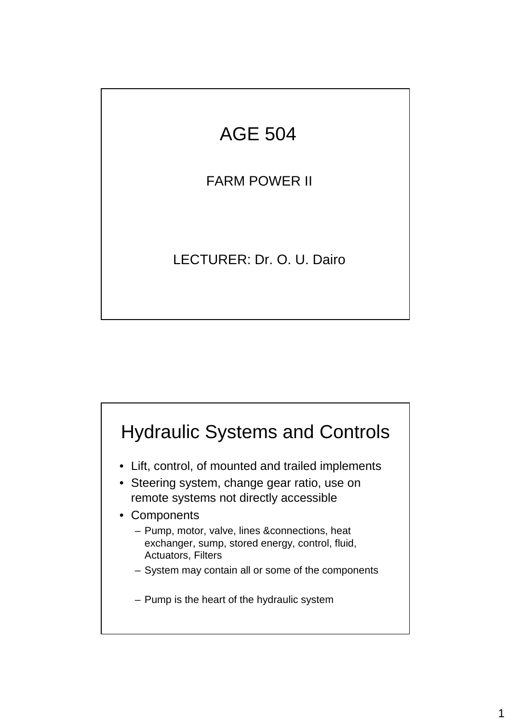## AGE 504

FARM POWER II

LECTURER: Dr. O. U. Dairo



- Lift, control, of mounted and trailed implements
- Steering system, change gear ratio, use on remote systems not directly accessible
- Components
	- Pump, motor, valve, lines &connections, heat exchanger, sump, stored energy, control, fluid, Actuators, Filters
	- System may contain all or some of the components
	- Pump is the heart of the hydraulic system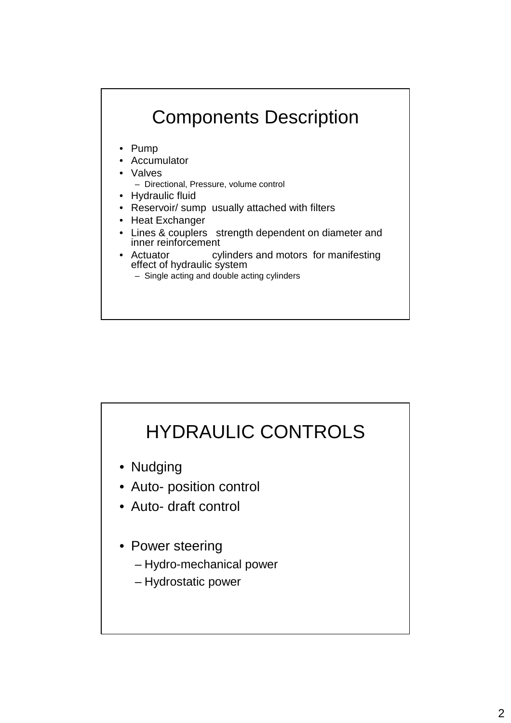

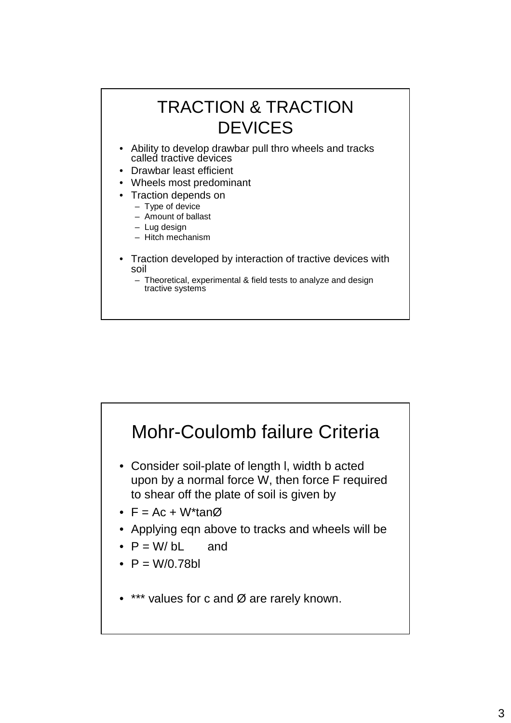

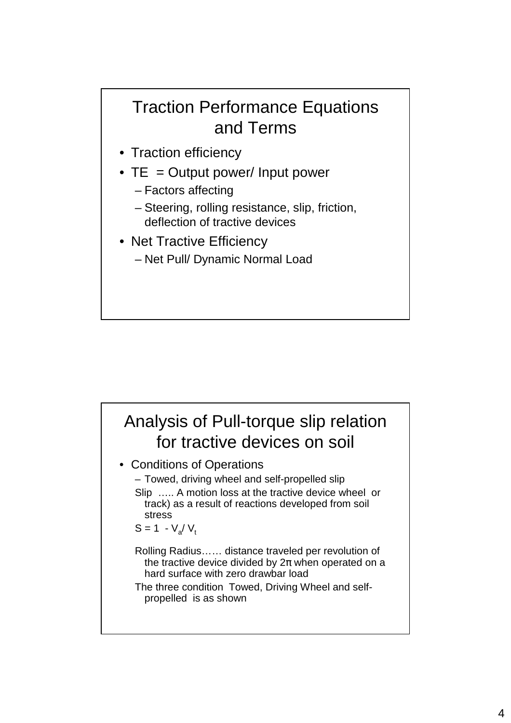## Traction Performance Equations and Terms

- Traction efficiency
- $TE = Output$  power/ Input power
	- Factors affecting
	- Steering, rolling resistance, slip, friction, deflection of tractive devices
- Net Tractive Efficiency – Net Pull/ Dynamic Normal Load

## Analysis of Pull-torque slip relation for tractive devices on soil

- Conditions of Operations
	- Towed, driving wheel and self-propelled slip
	- Slip ….. A motion loss at the tractive device wheel or track) as a result of reactions developed from soil stress

$$
S = 1 - V_a / V_t
$$

- Rolling Radius…… distance traveled per revolution of the tractive device divided by  $2\pi$  when operated on a hard surface with zero drawbar load
- The three condition Towed, Driving Wheel and selfpropelled is as shown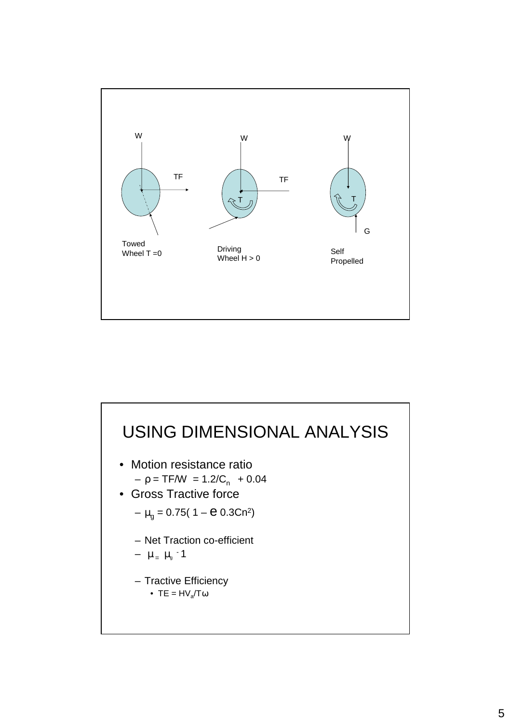

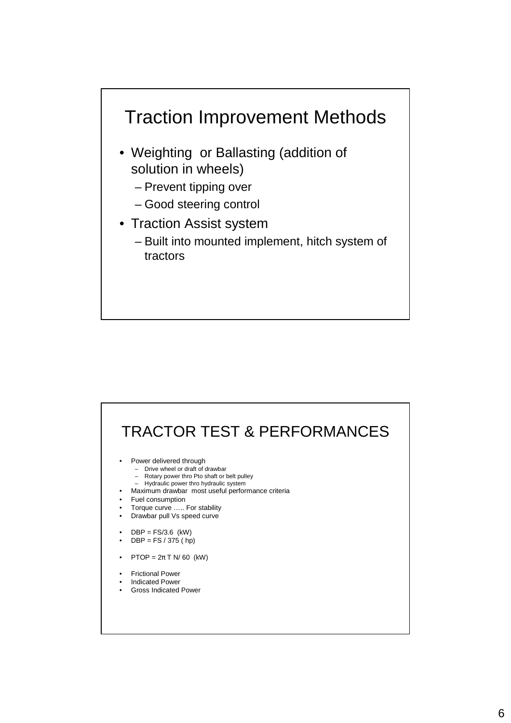

- Weighting or Ballasting (addition of solution in wheels)
	- Prevent tipping over
	- Good steering control
- Traction Assist system
	- Built into mounted implement, hitch system of tractors

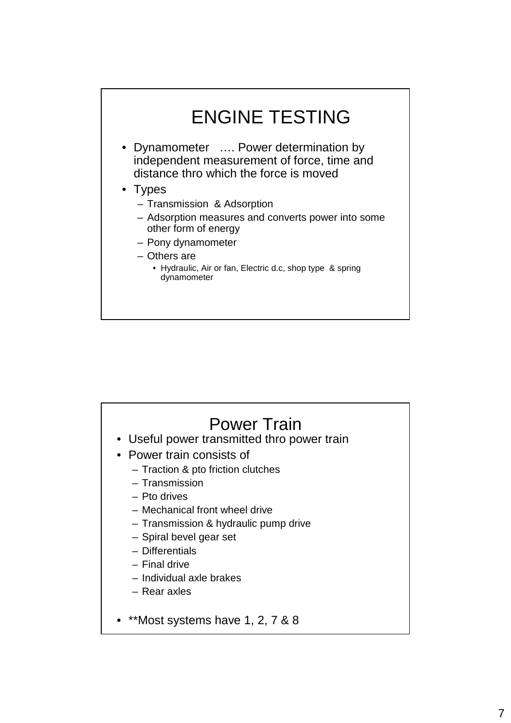

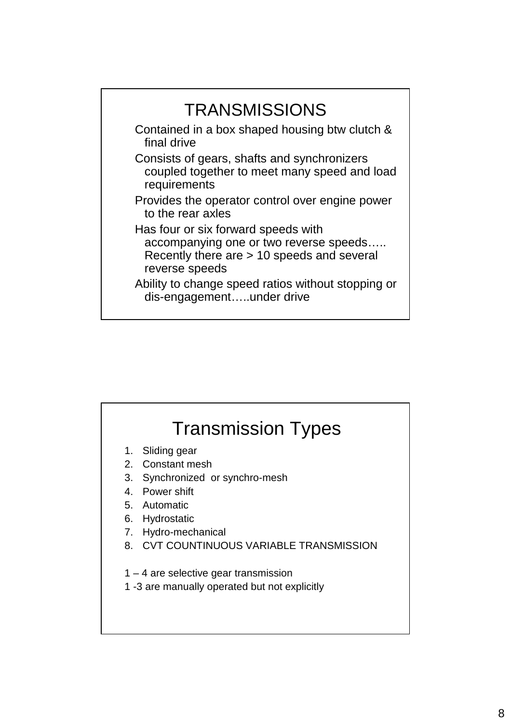

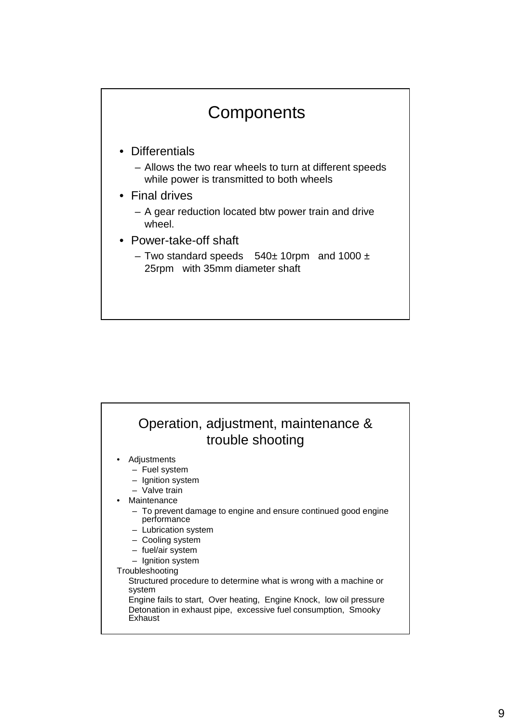